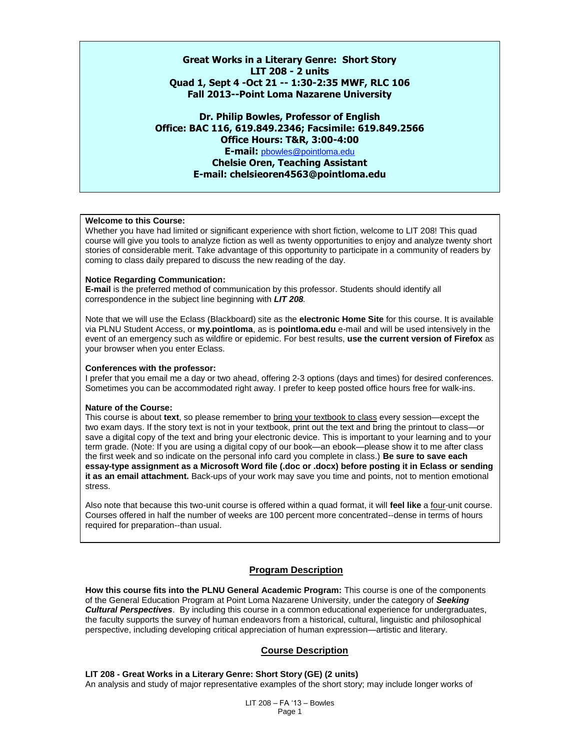**Great Works in a Literary Genre: Short Story LIT 208 - 2 units Quad 1, Sept 4 -Oct 21 -- 1:30-2:35 MWF, RLC 106 Fall 2013--Point Loma Nazarene University**

**Dr. Philip Bowles, Professor of English Office: BAC 116, 619.849.2346; Facsimile: 619.849.2566 Office Hours: T&R, 3:00-4:00 E-mail:** [pbowles@pointloma.edu](mailto:pbowles@pointloma.edu) **Chelsie Oren, Teaching Assistant E-mail: chelsieoren4563@pointloma.edu**

### **Welcome to this Course:**

Whether you have had limited or significant experience with short fiction, welcome to LIT 208! This quad course will give you tools to analyze fiction as well as twenty opportunities to enjoy and analyze twenty short stories of considerable merit. Take advantage of this opportunity to participate in a community of readers by coming to class daily prepared to discuss the new reading of the day.

#### **Notice Regarding Communication:**

**E-mail** is the preferred method of communication by this professor. Students should identify all correspondence in the subject line beginning with *LIT 208.*

Note that we will use the Eclass (Blackboard) site as the **electronic Home Site** for this course. It is available via PLNU Student Access, or **my.pointloma**, as is **pointloma.edu** e-mail and will be used intensively in the event of an emergency such as wildfire or epidemic. For best results, **use the current version of Firefox** as your browser when you enter Eclass.

#### **Conferences with the professor:**

I prefer that you email me a day or two ahead, offering 2-3 options (days and times) for desired conferences. Sometimes you can be accommodated right away. I prefer to keep posted office hours free for walk-ins.

#### **Nature of the Course:**

This course is about **text**, so please remember to bring your textbook to class every session—except the two exam days. If the story text is not in your textbook, print out the text and bring the printout to class—or save a digital copy of the text and bring your electronic device. This is important to your learning and to your term grade. (Note: If you are using a digital copy of our book—an ebook—please show it to me after class the first week and so indicate on the personal info card you complete in class.) **Be sure to save each essay-type assignment as a Microsoft Word file (.doc or .docx) before posting it in Eclass or sending it as an email attachment.** Back-ups of your work may save you time and points, not to mention emotional stress.

Also note that because this two-unit course is offered within a quad format, it will **feel like** a four-unit course. Courses offered in half the number of weeks are 100 percent more concentrated--dense in terms of hours required for preparation--than usual.

### **Program Description**

**How this course fits into the PLNU General Academic Program:** This course is one of the components of the General Education Program at Point Loma Nazarene University, under the category of *Seeking Cultural Perspectives*. By including this course in a common educational experience for undergraduates, the faculty supports the survey of human endeavors from a historical, cultural, linguistic and philosophical perspective, including developing critical appreciation of human expression—artistic and literary.

## **Course Description**

#### **LIT 208 - Great Works in a Literary Genre: Short Story (GE) (2 units)**

An analysis and study of major representative examples of the short story; may include longer works of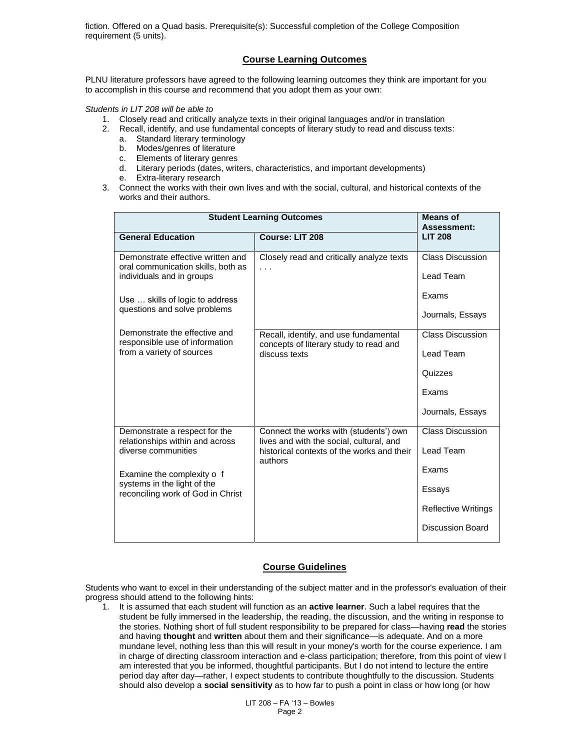fiction. Offered on a Quad basis. Prerequisite(s): Successful completion of the College Composition requirement (5 units).

### **Course Learning Outcomes**

PLNU literature professors have agreed to the following learning outcomes they think are important for you to accomplish in this course and recommend that you adopt them as your own:

*Students in LIT 208 will be able to*

- 1. Closely read and critically analyze texts in their original languages and/or in translation
- 2. Recall, identify, and use fundamental concepts of literary study to read and discuss texts:
	- a. Standard literary terminology
	- b. Modes/genres of literature
	- c. Elements of literary genres
	- d. Literary periods (dates, writers, characteristics, and important developments)
	- e. Extra-literary research
- 3. Connect the works with their own lives and with the social, cultural, and historical contexts of the works and their authors.

| <b>Student Learning Outcomes</b>                                                                     | <b>Means of</b><br>Assessment:                                                                                                   |                                             |
|------------------------------------------------------------------------------------------------------|----------------------------------------------------------------------------------------------------------------------------------|---------------------------------------------|
| <b>General Education</b>                                                                             | Course: LIT 208                                                                                                                  | <b>LIT 208</b>                              |
| Demonstrate effective written and<br>oral communication skills, both as<br>individuals and in groups | Closely read and critically analyze texts<br>.                                                                                   | <b>Class Discussion</b><br>Lead Team        |
| Use  skills of logic to address                                                                      |                                                                                                                                  | Exams                                       |
| questions and solve problems                                                                         |                                                                                                                                  | Journals, Essays                            |
| Demonstrate the effective and<br>responsible use of information                                      | Recall, identify, and use fundamental<br>concepts of literary study to read and                                                  | <b>Class Discussion</b>                     |
| from a variety of sources                                                                            | discuss texts                                                                                                                    | <b>Lead Team</b>                            |
|                                                                                                      |                                                                                                                                  | Quizzes                                     |
|                                                                                                      |                                                                                                                                  | Exams                                       |
|                                                                                                      |                                                                                                                                  | Journals, Essays<br><b>Class Discussion</b> |
| Demonstrate a respect for the<br>relationships within and across<br>diverse communities              | Connect the works with (students') own<br>lives and with the social, cultural, and<br>historical contexts of the works and their | Lead Team                                   |
|                                                                                                      | authors                                                                                                                          | Exams                                       |
| Examine the complexity o f<br>systems in the light of the                                            |                                                                                                                                  | Essays                                      |
| reconciling work of God in Christ                                                                    |                                                                                                                                  |                                             |
|                                                                                                      |                                                                                                                                  | <b>Reflective Writings</b>                  |
|                                                                                                      |                                                                                                                                  | <b>Discussion Board</b>                     |

### **Course Guidelines**

Students who want to excel in their understanding of the subject matter and in the professor's evaluation of their progress should attend to the following hints:

1. It is assumed that each student will function as an **active learner**. Such a label requires that the student be fully immersed in the leadership, the reading, the discussion, and the writing in response to the stories. Nothing short of full student responsibility to be prepared for class—having **read** the stories and having **thought** and **written** about them and their significance—is adequate. And on a more mundane level, nothing less than this will result in your money's worth for the course experience. I am in charge of directing classroom interaction and e-class participation; therefore, from this point of view I am interested that you be informed, thoughtful participants. But I do not intend to lecture the entire period day after day—rather, I expect students to contribute thoughtfully to the discussion. Students should also develop a **social sensitivity** as to how far to push a point in class or how long (or how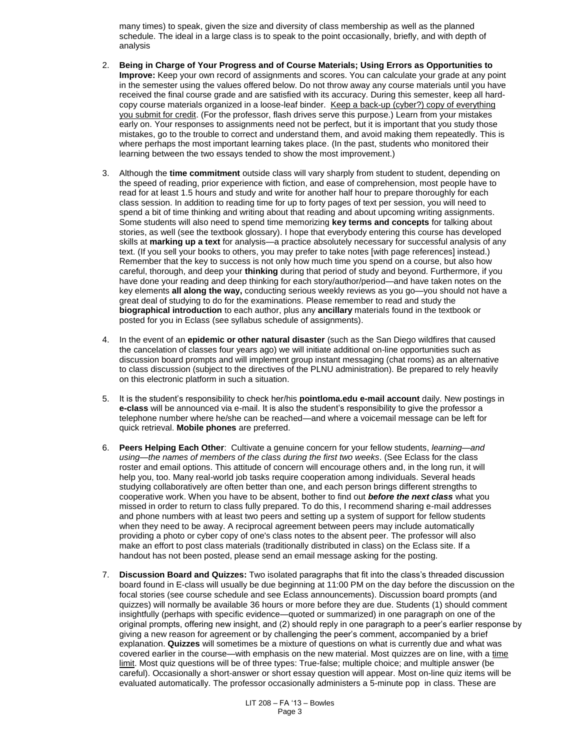many times) to speak, given the size and diversity of class membership as well as the planned schedule. The ideal in a large class is to speak to the point occasionally, briefly, and with depth of analysis

- 2. **Being in Charge of Your Progress and of Course Materials; Using Errors as Opportunities to Improve:** Keep your own record of assignments and scores. You can calculate your grade at any point in the semester using the values offered below. Do not throw away any course materials until you have received the final course grade and are satisfied with its accuracy. During this semester, keep all hardcopy course materials organized in a loose-leaf binder. Keep a back-up (cyber?) copy of everything you submit for credit. (For the professor, flash drives serve this purpose.) Learn from your mistakes early on. Your responses to assignments need not be perfect, but it is important that you study those mistakes, go to the trouble to correct and understand them, and avoid making them repeatedly. This is where perhaps the most important learning takes place. (In the past, students who monitored their learning between the two essays tended to show the most improvement.)
- 3. Although the **time commitment** outside class will vary sharply from student to student, depending on the speed of reading, prior experience with fiction, and ease of comprehension, most people have to read for at least 1.5 hours and study and write for another half hour to prepare thoroughly for each class session. In addition to reading time for up to forty pages of text per session, you will need to spend a bit of time thinking and writing about that reading and about upcoming writing assignments. Some students will also need to spend time memorizing **key terms and concepts** for talking about stories, as well (see the textbook glossary). I hope that everybody entering this course has developed skills at **marking up a text** for analysis—a practice absolutely necessary for successful analysis of any text. (If you sell your books to others, you may prefer to take notes [with page references] instead.) Remember that the key to success is not only how much time you spend on a course, but also how careful, thorough, and deep your **thinking** during that period of study and beyond. Furthermore, if you have done your reading and deep thinking for each story/author/period—and have taken notes on the key elements **all along the way,** conducting serious weekly reviews as you go—you should not have a great deal of studying to do for the examinations. Please remember to read and study the **biographical introduction** to each author, plus any **ancillary** materials found in the textbook or posted for you in Eclass (see syllabus schedule of assignments).
- 4. In the event of an **epidemic or other natural disaster** (such as the San Diego wildfires that caused the cancelation of classes four years ago) we will initiate additional on-line opportunities such as discussion board prompts and will implement group instant messaging (chat rooms) as an alternative to class discussion (subject to the directives of the PLNU administration). Be prepared to rely heavily on this electronic platform in such a situation.
- 5. It is the student's responsibility to check her/his **pointloma.edu e-mail account** daily. New postings in **e-class** will be announced via e-mail. It is also the student's responsibility to give the professor a telephone number where he/she can be reached—and where a voicemail message can be left for quick retrieval. **Mobile phones** are preferred.
- 6. **Peers Helping Each Other**: Cultivate a genuine concern for your fellow students, *learning—and using—the names of members of the class during the first two weeks*. (See Eclass for the class roster and email options. This attitude of concern will encourage others and, in the long run, it will help you, too. Many real-world job tasks require cooperation among individuals. Several heads studying collaboratively are often better than one, and each person brings different strengths to cooperative work. When you have to be absent, bother to find out *before the next class* what you missed in order to return to class fully prepared. To do this, I recommend sharing e-mail addresses and phone numbers with at least two peers and setting up a system of support for fellow students when they need to be away. A reciprocal agreement between peers may include automatically providing a photo or cyber copy of one's class notes to the absent peer. The professor will also make an effort to post class materials (traditionally distributed in class) on the Eclass site. If a handout has not been posted, please send an email message asking for the posting.
- 7. **Discussion Board and Quizzes:** Two isolated paragraphs that fit into the class's threaded discussion board found in E-class will usually be due beginning at 11:00 PM on the day before the discussion on the focal stories (see course schedule and see Eclass announcements). Discussion board prompts (and quizzes) will normally be available 36 hours or more before they are due. Students (1) should comment insightfully (perhaps with specific evidence—quoted or summarized) in one paragraph on one of the original prompts, offering new insight, and (2) should reply in one paragraph to a peer's earlier response by giving a new reason for agreement or by challenging the peer's comment, accompanied by a brief explanation. **Quizzes** will sometimes be a mixture of questions on what is currently due and what was covered earlier in the course—with emphasis on the new material. Most quizzes are on line, with a time limit. Most quiz questions will be of three types: True-false; multiple choice; and multiple answer (be careful). Occasionally a short-answer or short essay question will appear. Most on-line quiz items will be evaluated automatically. The professor occasionally administers a 5-minute pop in class. These are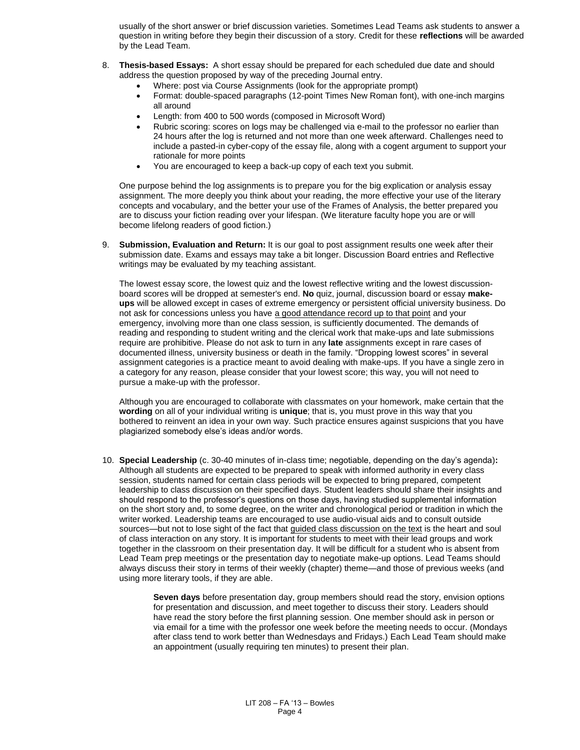usually of the short answer or brief discussion varieties. Sometimes Lead Teams ask students to answer a question in writing before they begin their discussion of a story. Credit for these **reflections** will be awarded by the Lead Team.

- 8. **Thesis-based Essays:** A short essay should be prepared for each scheduled due date and should address the question proposed by way of the preceding Journal entry.
	- Where: post via Course Assignments (look for the appropriate prompt)
	- Format: double-spaced paragraphs (12-point Times New Roman font), with one-inch margins all around
	- Length: from 400 to 500 words (composed in Microsoft Word)
	- Rubric scoring: scores on logs may be challenged via e-mail to the professor no earlier than 24 hours after the log is returned and not more than one week afterward. Challenges need to include a pasted-in cyber-copy of the essay file, along with a cogent argument to support your rationale for more points
	- You are encouraged to keep a back-up copy of each text you submit.

One purpose behind the log assignments is to prepare you for the big explication or analysis essay assignment. The more deeply you think about your reading, the more effective your use of the literary concepts and vocabulary, and the better your use of the Frames of Analysis, the better prepared you are to discuss your fiction reading over your lifespan. (We literature faculty hope you are or will become lifelong readers of good fiction.)

9. **Submission, Evaluation and Return:** It is our goal to post assignment results one week after their submission date. Exams and essays may take a bit longer. Discussion Board entries and Reflective writings may be evaluated by my teaching assistant.

The lowest essay score, the lowest quiz and the lowest reflective writing and the lowest discussionboard scores will be dropped at semester's end. **No** quiz, journal, discussion board or essay **makeups** will be allowed except in cases of extreme emergency or persistent official university business. Do not ask for concessions unless you have a good attendance record up to that point and your emergency, involving more than one class session, is sufficiently documented. The demands of reading and responding to student writing and the clerical work that make-ups and late submissions require are prohibitive. Please do not ask to turn in any **late** assignments except in rare cases of documented illness, university business or death in the family. "Dropping lowest scores" in several assignment categories is a practice meant to avoid dealing with make-ups. If you have a single zero in a category for any reason, please consider that your lowest score; this way, you will not need to pursue a make-up with the professor.

Although you are encouraged to collaborate with classmates on your homework, make certain that the **wording** on all of your individual writing is **unique**; that is, you must prove in this way that you bothered to reinvent an idea in your own way. Such practice ensures against suspicions that you have plagiarized somebody else's ideas and/or words.

10. **Special Leadership** (c. 30-40 minutes of in-class time; negotiable, depending on the day's agenda)**:** Although all students are expected to be prepared to speak with informed authority in every class session, students named for certain class periods will be expected to bring prepared, competent leadership to class discussion on their specified days. Student leaders should share their insights and should respond to the professor's questions on those days, having studied supplemental information on the short story and, to some degree, on the writer and chronological period or tradition in which the writer worked. Leadership teams are encouraged to use audio-visual aids and to consult outside sources—but not to lose sight of the fact that guided class discussion on the text is the heart and soul of class interaction on any story. It is important for students to meet with their lead groups and work together in the classroom on their presentation day. It will be difficult for a student who is absent from Lead Team prep meetings or the presentation day to negotiate make-up options. Lead Teams should always discuss their story in terms of their weekly (chapter) theme—and those of previous weeks (and using more literary tools, if they are able.

> **Seven days** before presentation day, group members should read the story, envision options for presentation and discussion, and meet together to discuss their story. Leaders should have read the story before the first planning session. One member should ask in person or via email for a time with the professor one week before the meeting needs to occur. (Mondays after class tend to work better than Wednesdays and Fridays.) Each Lead Team should make an appointment (usually requiring ten minutes) to present their plan.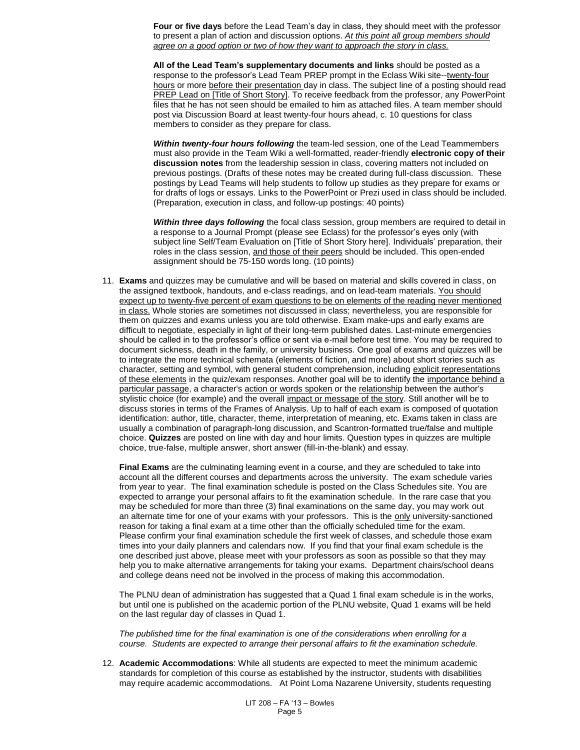**Four or five days** before the Lead Team's day in class, they should meet with the professor to present a plan of action and discussion options. *At this point all group members should agree on a good option or two of how they want to approach the story in class.*

**All of the Lead Team's supplementary documents and links** should be posted as a response to the professor's Lead Team PREP prompt in the Eclass Wiki site--twenty-four hours or more before their presentation day in class. The subject line of a posting should read PREP Lead on [Title of Short Story]. To receive feedback from the professor, any PowerPoint files that he has not seen should be emailed to him as attached files. A team member should post via Discussion Board at least twenty-four hours ahead, c. 10 questions for class members to consider as they prepare for class.

*Within twenty-four hours following* the team-led session, one of the Lead Teammembers must also provide in the Team Wiki a well-formatted, reader-friendly **electronic copy of their discussion notes** from the leadership session in class, covering matters not included on previous postings. (Drafts of these notes may be created during full-class discussion. These postings by Lead Teams will help students to follow up studies as they prepare for exams or for drafts of logs or essays. Links to the PowerPoint or Prezi used in class should be included. (Preparation, execution in class, and follow-up postings: 40 points)

*Within three days following* the focal class session, group members are required to detail in a response to a Journal Prompt (please see Eclass) for the professor's eyes only (with subject line Self/Team Evaluation on [Title of Short Story here]. Individuals' preparation, their roles in the class session, and those of their peers should be included. This open-ended assignment should be 75-150 words long. (10 points)

11. **Exams** and quizzes may be cumulative and will be based on material and skills covered in class, on the assigned textbook, handouts, and e-class readings, and on lead-team materials. You should expect up to twenty-five percent of exam questions to be on elements of the reading never mentioned in class. Whole stories are sometimes not discussed in class; nevertheless, you are responsible for them on quizzes and exams unless you are told otherwise. Exam make-ups and early exams are difficult to negotiate, especially in light of their long-term published dates. Last-minute emergencies should be called in to the professor's office or sent via e-mail before test time. You may be required to document sickness, death in the family, or university business. One goal of exams and quizzes will be to integrate the more technical schemata (elements of fiction, and more) about short stories such as character, setting and symbol, with general student comprehension, including explicit representations of these elements in the quiz/exam responses. Another goal will be to identify the importance behind a particular passage, a character's action or words spoken or the relationship between the author's stylistic choice (for example) and the overall impact or message of the story. Still another will be to discuss stories in terms of the Frames of Analysis. Up to half of each exam is composed of quotation identification: author, title, character, theme, interpretation of meaning, etc. Exams taken in class are usually a combination of paragraph-long discussion, and Scantron-formatted true/false and multiple choice. **Quizzes** are posted on line with day and hour limits. Question types in quizzes are multiple choice, true-false, multiple answer, short answer (fill-in-the-blank) and essay.

**Final Exams** are the culminating learning event in a course, and they are scheduled to take into account all the different courses and departments across the university. The exam schedule varies from year to year. The final examination schedule is posted on the Class Schedules site. You are expected to arrange your personal affairs to fit the examination schedule. In the rare case that you may be scheduled for more than three (3) final examinations on the same day, you may work out an alternate time for one of your exams with your professors. This is the only university-sanctioned reason for taking a final exam at a time other than the officially scheduled time for the exam. Please confirm your final examination schedule the first week of classes, and schedule those exam times into your daily planners and calendars now. If you find that your final exam schedule is the one described just above, please meet with your professors as soon as possible so that they may help you to make alternative arrangements for taking your exams. Department chairs/school deans and college deans need not be involved in the process of making this accommodation.

The PLNU dean of administration has suggested that a Quad 1 final exam schedule is in the works, but until one is published on the academic portion of the PLNU website, Quad 1 exams will be held on the last regular day of classes in Quad 1.

*The published time for the final examination is one of the considerations when enrolling for a course. Students are expected to arrange their personal affairs to fit the examination schedule.*

12. **Academic Accommodations**: While all students are expected to meet the minimum academic standards for completion of this course as established by the instructor, students with disabilities may require academic accommodations. At Point Loma Nazarene University, students requesting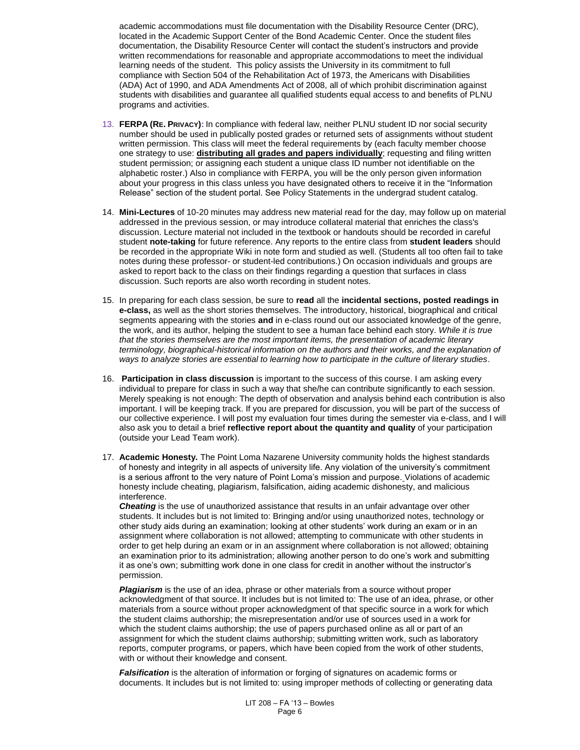academic accommodations must file documentation with the Disability Resource Center (DRC), located in the Academic Support Center of the Bond Academic Center. Once the student files documentation, the Disability Resource Center will contact the student's instructors and provide written recommendations for reasonable and appropriate accommodations to meet the individual learning needs of the student. This policy assists the University in its commitment to full compliance with Section 504 of the Rehabilitation Act of 1973, the Americans with Disabilities (ADA) Act of 1990, and ADA Amendments Act of 2008, all of which prohibit discrimination against students with disabilities and guarantee all qualified students equal access to and benefits of PLNU programs and activities.

- 13. **FERPA (RE. PRIVACY):** In compliance with federal law, neither PLNU student ID nor social security number should be used in publically posted grades or returned sets of assignments without student written permission. This class will meet the federal requirements by (each faculty member choose one strategy to use: **distributing all grades and papers individually**; requesting and filing written student permission; or assigning each student a unique class ID number not identifiable on the alphabetic roster.) Also in compliance with FERPA, you will be the only person given information about your progress in this class unless you have designated others to receive it in the "Information Release" section of the student portal. See Policy Statements in the undergrad student catalog.
- 14. **Mini-Lectures** of 10-20 minutes may address new material read for the day, may follow up on material addressed in the previous session, or may introduce collateral material that enriches the class's discussion. Lecture material not included in the textbook or handouts should be recorded in careful student **note-taking** for future reference. Any reports to the entire class from **student leaders** should be recorded in the appropriate Wiki in note form and studied as well. (Students all too often fail to take notes during these professor- or student-led contributions.) On occasion individuals and groups are asked to report back to the class on their findings regarding a question that surfaces in class discussion. Such reports are also worth recording in student notes.
- 15. In preparing for each class session, be sure to **read** all the **incidental sections, posted readings in e-class,** as well as the short stories themselves. The introductory, historical, biographical and critical segments appearing with the stories **and** in e-class round out our associated knowledge of the genre, the work, and its author, helping the student to see a human face behind each story. *While it is true that the stories themselves are the most important items, the presentation of academic literary terminology, biographical-historical information on the authors and their works, and the explanation of ways to analyze stories are essential to learning how to participate in the culture of literary studies*.
- 16. **Participation in class discussion** is important to the success of this course. I am asking every individual to prepare for class in such a way that she/he can contribute significantly to each session. Merely speaking is not enough: The depth of observation and analysis behind each contribution is also important. I will be keeping track. If you are prepared for discussion, you will be part of the success of our collective experience. I will post my evaluation four times during the semester via e-class, and I will also ask you to detail a brief **reflective report about the quantity and quality** of your participation (outside your Lead Team work).
- 17. **Academic Honesty.** The Point Loma Nazarene University community holds the highest standards of honesty and integrity in all aspects of university life. Any violation of the university's commitment is a serious affront to the very nature of Point Loma's mission and purpose. Violations of academic honesty include cheating, plagiarism, falsification, aiding academic dishonesty, and malicious interference.

*Cheating* is the use of unauthorized assistance that results in an unfair advantage over other students. It includes but is not limited to: Bringing and/or using unauthorized notes, technology or other study aids during an examination; looking at other students' work during an exam or in an assignment where collaboration is not allowed; attempting to communicate with other students in order to get help during an exam or in an assignment where collaboration is not allowed; obtaining an examination prior to its administration; allowing another person to do one's work and submitting it as one's own; submitting work done in one class for credit in another without the instructor's permission.

*Plagiarism* is the use of an idea, phrase or other materials from a source without proper acknowledgment of that source. It includes but is not limited to: The use of an idea, phrase, or other materials from a source without proper acknowledgment of that specific source in a work for which the student claims authorship; the misrepresentation and/or use of sources used in a work for which the student claims authorship; the use of papers purchased online as all or part of an assignment for which the student claims authorship; submitting written work, such as laboratory reports, computer programs, or papers, which have been copied from the work of other students, with or without their knowledge and consent.

*Falsification* is the alteration of information or forging of signatures on academic forms or documents. It includes but is not limited to: using improper methods of collecting or generating data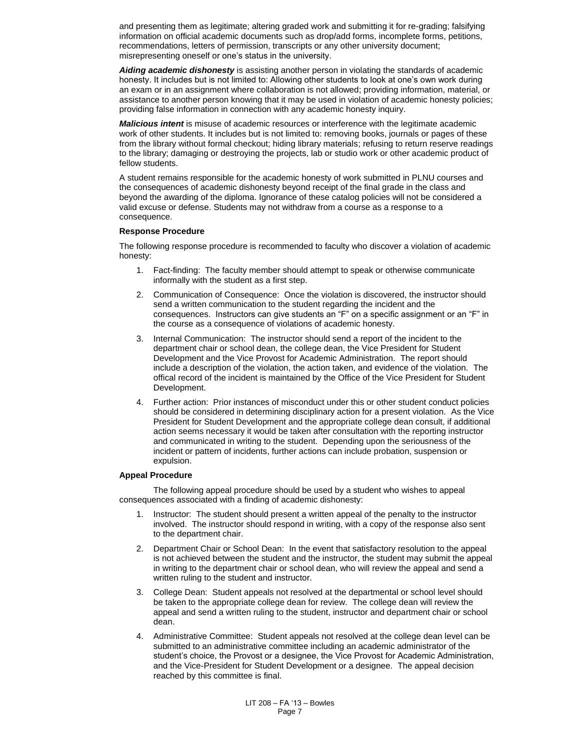and presenting them as legitimate; altering graded work and submitting it for re-grading; falsifying information on official academic documents such as drop/add forms, incomplete forms, petitions, recommendations, letters of permission, transcripts or any other university document; misrepresenting oneself or one's status in the university.

*Aiding academic dishonesty* is assisting another person in violating the standards of academic honesty. It includes but is not limited to: Allowing other students to look at one's own work during an exam or in an assignment where collaboration is not allowed; providing information, material, or assistance to another person knowing that it may be used in violation of academic honesty policies; providing false information in connection with any academic honesty inquiry.

*Malicious intent* is misuse of academic resources or interference with the legitimate academic work of other students. It includes but is not limited to: removing books, journals or pages of these from the library without formal checkout; hiding library materials; refusing to return reserve readings to the library; damaging or destroying the projects, lab or studio work or other academic product of fellow students.

A student remains responsible for the academic honesty of work submitted in PLNU courses and the consequences of academic dishonesty beyond receipt of the final grade in the class and beyond the awarding of the diploma. Ignorance of these catalog policies will not be considered a valid excuse or defense. Students may not withdraw from a course as a response to a consequence.

### **Response Procedure**

The following response procedure is recommended to faculty who discover a violation of academic honesty:

- 1. Fact-finding: The faculty member should attempt to speak or otherwise communicate informally with the student as a first step.
- 2. Communication of Consequence: Once the violation is discovered, the instructor should send a written communication to the student regarding the incident and the consequences. Instructors can give students an "F" on a specific assignment or an "F" in the course as a consequence of violations of academic honesty.
- 3. Internal Communication: The instructor should send a report of the incident to the department chair or school dean, the college dean, the Vice President for Student Development and the Vice Provost for Academic Administration. The report should include a description of the violation, the action taken, and evidence of the violation. The offical record of the incident is maintained by the Office of the Vice President for Student Development.
- 4. Further action: Prior instances of misconduct under this or other student conduct policies should be considered in determining disciplinary action for a present violation. As the Vice President for Student Development and the appropriate college dean consult, if additional action seems necessary it would be taken after consultation with the reporting instructor and communicated in writing to the student. Depending upon the seriousness of the incident or pattern of incidents, further actions can include probation, suspension or expulsion.

### **Appeal Procedure**

The following appeal procedure should be used by a student who wishes to appeal consequences associated with a finding of academic dishonesty:

- 1. Instructor: The student should present a written appeal of the penalty to the instructor involved. The instructor should respond in writing, with a copy of the response also sent to the department chair.
- 2. Department Chair or School Dean: In the event that satisfactory resolution to the appeal is not achieved between the student and the instructor, the student may submit the appeal in writing to the department chair or school dean, who will review the appeal and send a written ruling to the student and instructor.
- 3. College Dean: Student appeals not resolved at the departmental or school level should be taken to the appropriate college dean for review. The college dean will review the appeal and send a written ruling to the student, instructor and department chair or school dean.
- 4. Administrative Committee: Student appeals not resolved at the college dean level can be submitted to an administrative committee including an academic administrator of the student's choice, the Provost or a designee, the Vice Provost for Academic Administration, and the Vice-President for Student Development or a designee. The appeal decision reached by this committee is final.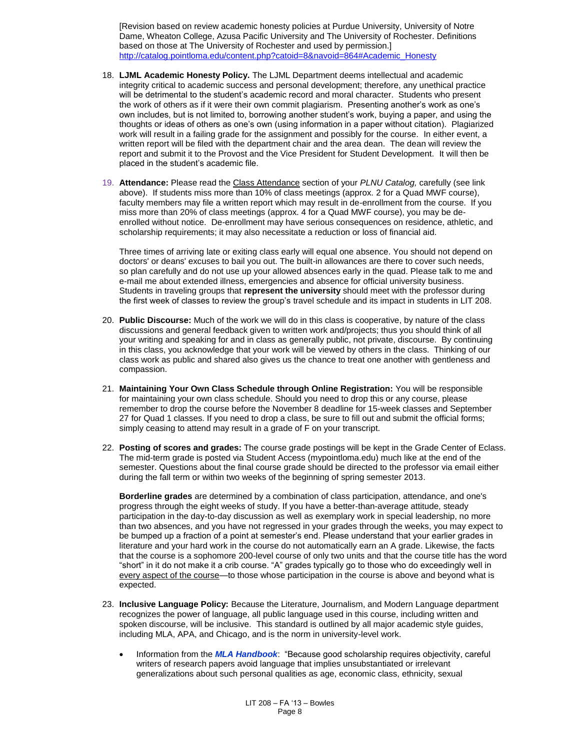[Revision based on review academic honesty policies at Purdue University, University of Notre Dame, Wheaton College, Azusa Pacific University and The University of Rochester. Definitions based on those at The University of Rochester and used by permission.] [http://catalog.pointloma.edu/content.php?catoid=8&navoid=864#Academic\\_Honesty](http://catalog.pointloma.edu/content.php?catoid=8&navoid=864#Academic_Honesty)

- 18. **LJML Academic Honesty Policy.** The LJML Department deems intellectual and academic integrity critical to academic success and personal development; therefore, any unethical practice will be detrimental to the student's academic record and moral character. Students who present the work of others as if it were their own commit plagiarism. Presenting another's work as one's own includes, but is not limited to, borrowing another student's work, buying a paper, and using the thoughts or ideas of others as one's own (using information in a paper without citation). Plagiarized work will result in a failing grade for the assignment and possibly for the course. In either event, a written report will be filed with the department chair and the area dean. The dean will review the report and submit it to the Provost and the Vice President for Student Development. It will then be placed in the student's academic file.
- 19. **Attendance:** Please read the Class Attendance section of your *PLNU Catalog,* carefully (see link above). If students miss more than 10% of class meetings (approx. 2 for a Quad MWF course), faculty members may file a written report which may result in de-enrollment from the course. If you miss more than 20% of class meetings (approx. 4 for a Quad MWF course), you may be deenrolled without notice. De-enrollment may have serious consequences on residence, athletic, and scholarship requirements; it may also necessitate a reduction or loss of financial aid.

Three times of arriving late or exiting class early will equal one absence. You should not depend on doctors' or deans' excuses to bail you out. The built-in allowances are there to cover such needs, so plan carefully and do not use up your allowed absences early in the quad. Please talk to me and e-mail me about extended illness, emergencies and absence for official university business. Students in traveling groups that **represent the university** should meet with the professor during the first week of classes to review the group's travel schedule and its impact in students in LIT 208.

- 20. **Public Discourse:** Much of the work we will do in this class is cooperative, by nature of the class discussions and general feedback given to written work and/projects; thus you should think of all your writing and speaking for and in class as generally public, not private, discourse. By continuing in this class, you acknowledge that your work will be viewed by others in the class. Thinking of our class work as public and shared also gives us the chance to treat one another with gentleness and compassion.
- 21. **Maintaining Your Own Class Schedule through Online Registration:** You will be responsible for maintaining your own class schedule. Should you need to drop this or any course, please remember to drop the course before the November 8 deadline for 15-week classes and September 27 for Quad 1 classes. If you need to drop a class, be sure to fill out and submit the official forms; simply ceasing to attend may result in a grade of F on your transcript.
- 22. **Posting of scores and grades:** The course grade postings will be kept in the Grade Center of Eclass. The mid-term grade is posted via Student Access (mypointloma.edu) much like at the end of the semester. Questions about the final course grade should be directed to the professor via email either during the fall term or within two weeks of the beginning of spring semester 2013.

**Borderline grades** are determined by a combination of class participation, attendance, and one's progress through the eight weeks of study. If you have a better-than-average attitude, steady participation in the day-to-day discussion as well as exemplary work in special leadership, no more than two absences, and you have not regressed in your grades through the weeks, you may expect to be bumped up a fraction of a point at semester's end. Please understand that your earlier grades in literature and your hard work in the course do not automatically earn an A grade. Likewise, the facts that the course is a sophomore 200-level course of only two units and that the course title has the word "short" in it do not make it a crib course. "A" grades typically go to those who do exceedingly well in every aspect of the course—to those whose participation in the course is above and beyond what is expected.

- 23. **Inclusive Language Policy:** Because the Literature, Journalism, and Modern Language department recognizes the power of language, all public language used in this course, including written and spoken discourse, will be inclusive. This standard is outlined by all major academic style guides, including MLA, APA, and Chicago, and is the norm in university-level work.
	- Information from the *MLA Handbook*: "Because good scholarship requires objectivity, careful writers of research papers avoid language that implies unsubstantiated or irrelevant generalizations about such personal qualities as age, economic class, ethnicity, sexual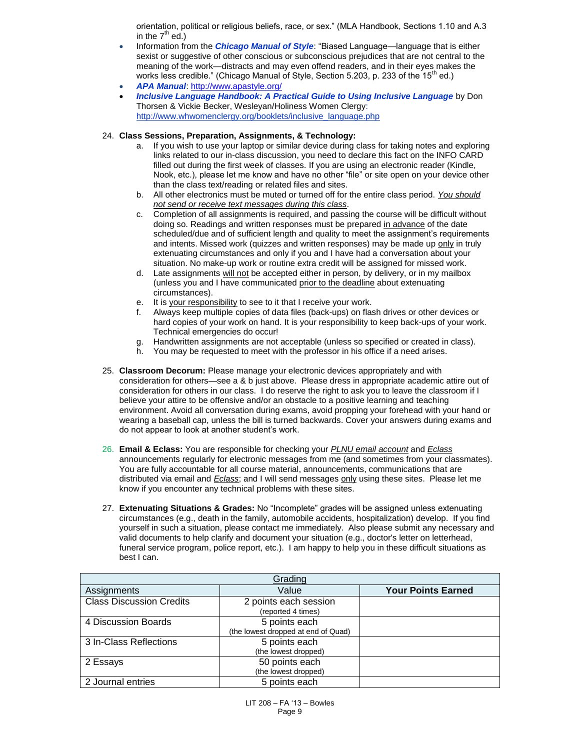orientation, political or religious beliefs, race, or sex." (MLA Handbook, Sections 1.10 and A.3 in the  $7<sup>th</sup>$  ed.)

- Information from the *Chicago Manual of Style*: "Biased Language—language that is either sexist or suggestive of other conscious or subconscious prejudices that are not central to the meaning of the work—distracts and may even offend readers, and in their eyes makes the works less credible." (Chicago Manual of Style, Section 5.203, p. 233 of the 15<sup>th</sup> ed.)
- *APA Manual*[: http://www.apastyle.org/](http://www.apastyle.org/)
- *Inclusive Language Handbook: A Practical Guide to Using Inclusive Language* by Don Thorsen & Vickie Becker, Wesleyan/Holiness Women Clergy: [http://www.whwomenclergy.org/booklets/inclusive\\_language.php](http://www.whwomenclergy.org/booklets/inclusive_language.php)

## 24. **Class Sessions, Preparation, Assignments, & Technology:**

- a. If you wish to use your laptop or similar device during class for taking notes and exploring links related to our in-class discussion, you need to declare this fact on the INFO CARD filled out during the first week of classes. If you are using an electronic reader (Kindle, Nook, etc.), please let me know and have no other "file" or site open on your device other than the class text/reading or related files and sites.
- b. All other electronics must be muted or turned off for the entire class period. *You should not send or receive text messages during this class*.
- c. Completion of all assignments is required, and passing the course will be difficult without doing so. Readings and written responses must be prepared in advance of the date scheduled/due and of sufficient length and quality to meet the assignment's requirements and intents. Missed work (quizzes and written responses) may be made up only in truly extenuating circumstances and only if you and I have had a conversation about your situation. No make-up work or routine extra credit will be assigned for missed work.
- d. Late assignments will not be accepted either in person, by delivery, or in my mailbox (unless you and I have communicated prior to the deadline about extenuating circumstances).
- e. It is your responsibility to see to it that I receive your work.
- f. Always keep multiple copies of data files (back-ups) on flash drives or other devices or hard copies of your work on hand. It is your responsibility to keep back-ups of your work. Technical emergencies do occur!
- g. Handwritten assignments are not acceptable (unless so specified or created in class).
- h. You may be requested to meet with the professor in his office if a need arises.
- 25. **Classroom Decorum:** Please manage your electronic devices appropriately and with consideration for others—see a & b just above. Please dress in appropriate academic attire out of consideration for others in our class. I do reserve the right to ask you to leave the classroom if I believe your attire to be offensive and/or an obstacle to a positive learning and teaching environment. Avoid all conversation during exams, avoid propping your forehead with your hand or wearing a baseball cap, unless the bill is turned backwards. Cover your answers during exams and do not appear to look at another student's work.
- 26. **Email & Eclass:** You are responsible for checking your *PLNU email account* and *Eclass* announcements regularly for electronic messages from me (and sometimes from your classmates). You are fully accountable for all course material, announcements, communications that are distributed via email and *Eclass*; and I will send messages only using these sites. Please let me know if you encounter any technical problems with these sites.
- 27. **Extenuating Situations & Grades:** No "Incomplete" grades will be assigned unless extenuating circumstances (e.g., death in the family, automobile accidents, hospitalization) develop. If you find yourself in such a situation, please contact me immediately. Also please submit any necessary and valid documents to help clarify and document your situation (e.g., doctor's letter on letterhead, funeral service program, police report, etc.). I am happy to help you in these difficult situations as best I can.

| Grading                         |                                                      |                           |  |  |  |  |  |
|---------------------------------|------------------------------------------------------|---------------------------|--|--|--|--|--|
| Assignments                     | Value                                                | <b>Your Points Earned</b> |  |  |  |  |  |
| <b>Class Discussion Credits</b> | 2 points each session<br>(reported 4 times)          |                           |  |  |  |  |  |
| 4 Discussion Boards             | 5 points each<br>(the lowest dropped at end of Quad) |                           |  |  |  |  |  |
| 3 In-Class Reflections          | 5 points each<br>(the lowest dropped)                |                           |  |  |  |  |  |
| 2 Essays                        | 50 points each<br>(the lowest dropped)               |                           |  |  |  |  |  |
| 2 Journal entries               | 5 points each                                        |                           |  |  |  |  |  |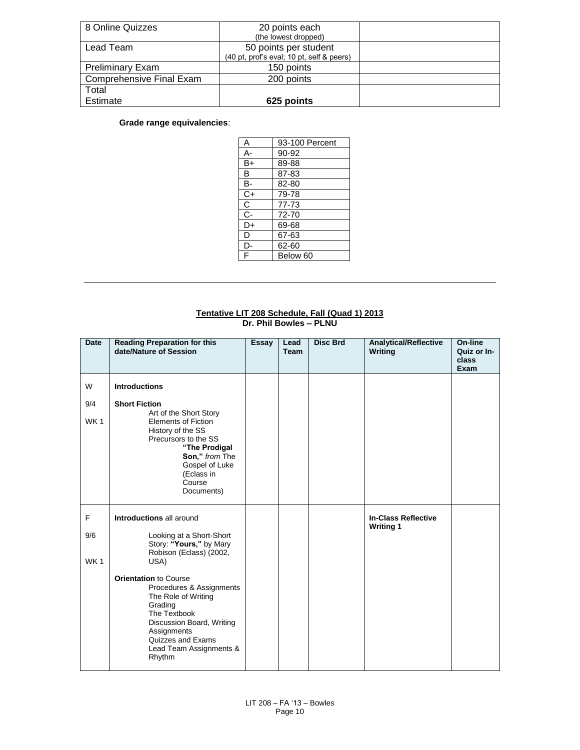| 8 Online Quizzes         | 20 points each<br>(the lowest dropped)                             |  |
|--------------------------|--------------------------------------------------------------------|--|
| Lead Team                | 50 points per student<br>(40 pt, prof's eval; 10 pt, self & peers) |  |
| <b>Preliminary Exam</b>  | 150 points                                                         |  |
| Comprehensive Final Exam | 200 points                                                         |  |
| Total                    |                                                                    |  |
| Estimate                 | 625 points                                                         |  |

# **Grade range equivalencies**:

| Α  | 93-100 Percent |
|----|----------------|
| А- | 90-92          |
| B+ | 89-88          |
| в  | 87-83          |
| в- | 82-80          |
| C+ | 79-78          |
| С  | 77-73          |
| C- | 72-70          |
| D+ | 69-68          |
| D  | 67-63          |
| D- | 62-60          |
| F  | Below 60       |

### **Tentative LIT 208 Schedule, Fall (Quad 1) 2013 Dr. Phil Bowles – PLNU**

| <b>Date</b>     | <b>Reading Preparation for this</b><br>date/Nature of Session                                                                                                                                                    | <b>Essay</b> | Lead<br><b>Team</b> | <b>Disc Brd</b> | <b>Analytical/Reflective</b><br>Writing        | On-line<br>Quiz or In-<br>class<br>Exam |
|-----------------|------------------------------------------------------------------------------------------------------------------------------------------------------------------------------------------------------------------|--------------|---------------------|-----------------|------------------------------------------------|-----------------------------------------|
| W               | <b>Introductions</b>                                                                                                                                                                                             |              |                     |                 |                                                |                                         |
| 9/4             | <b>Short Fiction</b><br>Art of the Short Story                                                                                                                                                                   |              |                     |                 |                                                |                                         |
| WK <sub>1</sub> | <b>Elements of Fiction</b><br>History of the SS<br>Precursors to the SS<br>"The Prodigal<br>Son," from The<br>Gospel of Luke<br>(Eclass in<br>Course<br>Documents)                                               |              |                     |                 |                                                |                                         |
| F               | Introductions all around                                                                                                                                                                                         |              |                     |                 | <b>In-Class Reflective</b><br><b>Writing 1</b> |                                         |
| 9/6             | Looking at a Short-Short<br>Story: "Yours," by Mary<br>Robison (Eclass) (2002,                                                                                                                                   |              |                     |                 |                                                |                                         |
| WK <sub>1</sub> | USA)                                                                                                                                                                                                             |              |                     |                 |                                                |                                         |
|                 | <b>Orientation to Course</b><br>Procedures & Assignments<br>The Role of Writing<br>Grading<br>The Textbook<br>Discussion Board, Writing<br>Assignments<br>Quizzes and Exams<br>Lead Team Assignments &<br>Rhythm |              |                     |                 |                                                |                                         |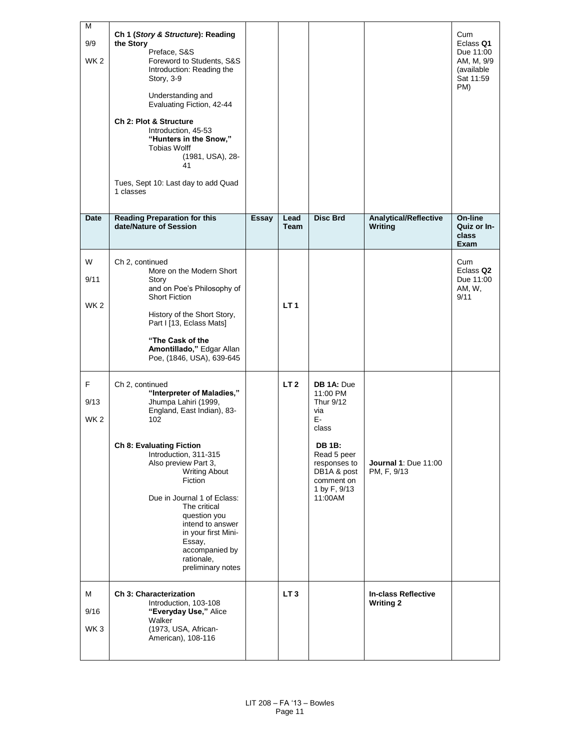| М<br>9/9<br>WK <sub>2</sub>  | Ch 1 (Story & Structure): Reading<br>the Story<br>Preface, S&S<br>Foreword to Students, S&S<br>Introduction: Reading the<br>Story, 3-9<br>Understanding and<br>Evaluating Fiction, 42-44<br>Ch 2: Plot & Structure<br>Introduction, 45-53<br>"Hunters in the Snow,"<br><b>Tobias Wolff</b><br>(1981, USA), 28-<br>41<br>Tues, Sept 10: Last day to add Quad<br>1 classes                                   |       |                 |                                                                                                                                                                   |                                                | Cum<br>Eclass Q1<br>Due 11:00<br>AM, M, 9/9<br>(available<br>Sat 11:59<br>PM) |
|------------------------------|------------------------------------------------------------------------------------------------------------------------------------------------------------------------------------------------------------------------------------------------------------------------------------------------------------------------------------------------------------------------------------------------------------|-------|-----------------|-------------------------------------------------------------------------------------------------------------------------------------------------------------------|------------------------------------------------|-------------------------------------------------------------------------------|
| Date                         | <b>Reading Preparation for this</b><br>date/Nature of Session                                                                                                                                                                                                                                                                                                                                              | Essay | Lead<br>Team    | <b>Disc Brd</b>                                                                                                                                                   | <b>Analytical/Reflective</b><br><b>Writing</b> | On-line<br>Quiz or In-<br>class<br>Exam                                       |
| W<br>9/11<br>WK <sub>2</sub> | Ch 2, continued<br>More on the Modern Short<br>Story<br>and on Poe's Philosophy of<br><b>Short Fiction</b><br>History of the Short Story,<br>Part I [13, Eclass Mats]<br>"The Cask of the<br>Amontillado," Edgar Allan<br>Poe, (1846, USA), 639-645                                                                                                                                                        |       | LT <sub>1</sub> |                                                                                                                                                                   |                                                | Cum<br>Eclass Q <sub>2</sub><br>Due 11:00<br>AM, W,<br>9/11                   |
| F<br>9/13<br>WK <sub>2</sub> | Ch 2, continued<br>"Interpreter of Maladies,"<br>Jhumpa Lahiri (1999,<br>England, East Indian), 83-<br>102<br><b>Ch 8: Evaluating Fiction</b><br>Introduction, 311-315<br>Also preview Part 3,<br><b>Writing About</b><br>Fiction<br>Due in Journal 1 of Eclass:<br>The critical<br>question you<br>intend to answer<br>in your first Mini-<br>Essay,<br>accompanied by<br>rationale,<br>preliminary notes |       | LT <sub>2</sub> | DB 1A: Due<br>11:00 PM<br>Thur 9/12<br>via<br>E-<br>class<br><b>DB 1B:</b><br>Read 5 peer<br>responses to<br>DB1A & post<br>comment on<br>1 by F, 9/13<br>11:00AM | Journal 1: Due 11:00<br>PM, F, 9/13            |                                                                               |
| м<br>9/16<br>WK <sub>3</sub> | <b>Ch 3: Characterization</b><br>Introduction, 103-108<br>"Everyday Use," Alice<br>Walker<br>(1973, USA, African-<br>American), 108-116                                                                                                                                                                                                                                                                    |       | LT <sub>3</sub> |                                                                                                                                                                   | <b>In-class Reflective</b><br><b>Writing 2</b> |                                                                               |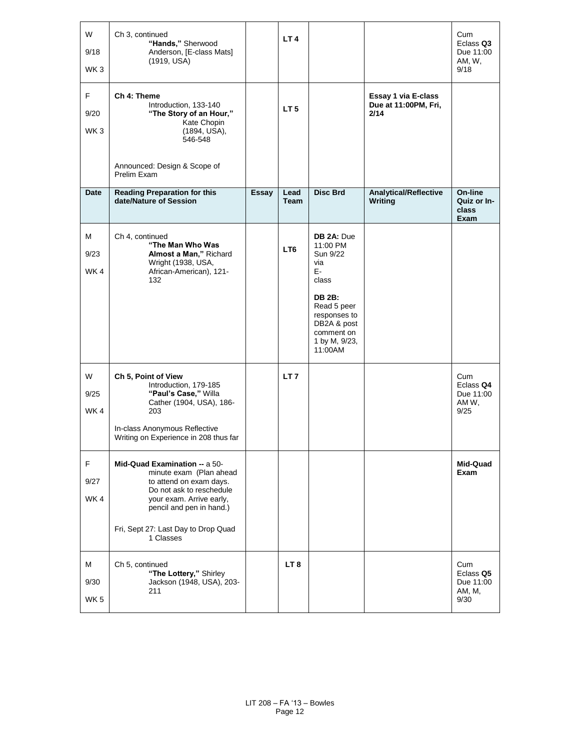| W<br>9/18<br>WK <sub>3</sub>  | Ch 3, continued<br>"Hands," Sherwood<br>Anderson, [E-class Mats]<br>(1919, USA)                                                                                                                                             |              | LT <sub>4</sub>     |                                                                                                                                                                   |                                                     | Cum<br>Eclass Q3<br>Due 11:00<br>AM, W,<br>9/18 |
|-------------------------------|-----------------------------------------------------------------------------------------------------------------------------------------------------------------------------------------------------------------------------|--------------|---------------------|-------------------------------------------------------------------------------------------------------------------------------------------------------------------|-----------------------------------------------------|-------------------------------------------------|
| F.<br>9/20<br>WK <sub>3</sub> | Ch 4: Theme<br>Introduction, 133-140<br>"The Story of an Hour,"<br>Kate Chopin<br>(1894, USA),<br>546-548                                                                                                                   |              | LT <sub>5</sub>     |                                                                                                                                                                   | Essay 1 via E-class<br>Due at 11:00PM, Fri,<br>2/14 |                                                 |
|                               | Announced: Design & Scope of<br>Prelim Exam                                                                                                                                                                                 |              |                     |                                                                                                                                                                   |                                                     |                                                 |
| Date                          | <b>Reading Preparation for this</b><br>date/Nature of Session                                                                                                                                                               | <b>Essay</b> | Lead<br><b>Team</b> | <b>Disc Brd</b>                                                                                                                                                   | <b>Analytical/Reflective</b><br>Writing             | On-line<br>Quiz or In-<br>class<br>Exam         |
| м<br>9/23<br>WK4              | Ch 4, continued<br>"The Man Who Was<br>Almost a Man," Richard<br>Wright (1938, USA,<br>African-American), 121-<br>132                                                                                                       |              | LT <sub>6</sub>     | DB 2A: Due<br>11:00 PM<br>Sun 9/22<br>via<br>E-<br>class<br><b>DB 2B:</b><br>Read 5 peer<br>responses to<br>DB2A & post<br>comment on<br>1 by M, 9/23,<br>11:00AM |                                                     |                                                 |
| W<br>9/25<br>WK4              | Ch 5, Point of View<br>Introduction, 179-185<br>"Paul's Case," Willa<br>Cather (1904, USA), 186-<br>203<br>In-class Anonymous Reflective<br>Writing on Experience in 208 thus far                                           |              | LT <sub>7</sub>     |                                                                                                                                                                   |                                                     | Cum<br>Eclass Q4<br>Due 11:00<br>AM W,<br>9/25  |
| F.<br>9/27<br>WK4             | Mid-Quad Examination -- a 50-<br>minute exam (Plan ahead<br>to attend on exam days.<br>Do not ask to reschedule<br>your exam. Arrive early,<br>pencil and pen in hand.)<br>Fri, Sept 27: Last Day to Drop Quad<br>1 Classes |              |                     |                                                                                                                                                                   |                                                     | Mid-Quad<br>Exam                                |
| M<br>9/30<br>WK <sub>5</sub>  | Ch 5, continued<br>"The Lottery," Shirley<br>Jackson (1948, USA), 203-<br>211                                                                                                                                               |              | LT <sub>8</sub>     |                                                                                                                                                                   |                                                     | Cum<br>Eclass Q5<br>Due 11:00<br>AM, M,<br>9/30 |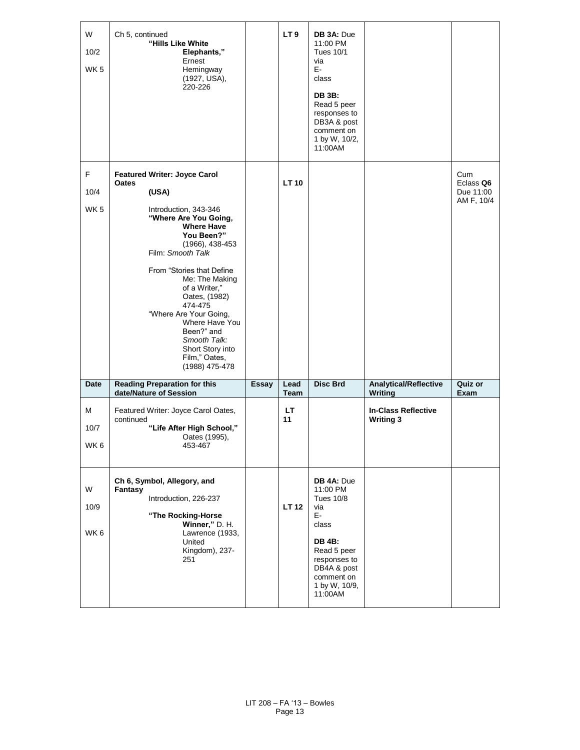| W<br>10/2<br>WK <sub>5</sub> | Ch 5, continued<br>"Hills Like White<br>Elephants,"<br>Ernest<br>Hemingway<br>(1927, USA),<br>220-226                                                                                                                                                                                                                                                     |              | LT <sub>9</sub> | DB 3A: Due<br>11:00 PM<br><b>Tues 10/1</b><br>via<br>E-<br>class<br><b>DB 3B:</b><br>Read 5 peer<br>responses to<br>DB3A & post<br>comment on<br>1 by W, 10/2,<br>11:00AM |                                                |                                             |
|------------------------------|-----------------------------------------------------------------------------------------------------------------------------------------------------------------------------------------------------------------------------------------------------------------------------------------------------------------------------------------------------------|--------------|-----------------|---------------------------------------------------------------------------------------------------------------------------------------------------------------------------|------------------------------------------------|---------------------------------------------|
| F.<br>10/4                   | <b>Featured Writer: Joyce Carol</b><br>Oates<br>(USA)                                                                                                                                                                                                                                                                                                     |              | <b>LT10</b>     |                                                                                                                                                                           |                                                | Cum<br>Eclass Q6<br>Due 11:00<br>AM F, 10/4 |
| WK <sub>5</sub>              | Introduction, 343-346<br>"Where Are You Going,<br><b>Where Have</b><br>You Been?"<br>$(1966), 438-453$<br>Film: Smooth Talk<br>From "Stories that Define"<br>Me: The Making<br>of a Writer,"<br>Oates, (1982)<br>474-475<br>"Where Are Your Going,<br>Where Have You<br>Been?" and<br>Smooth Talk:<br>Short Story into<br>Film," Oates,<br>(1988) 475-478 |              |                 |                                                                                                                                                                           |                                                |                                             |
| <b>Date</b>                  | <b>Reading Preparation for this</b><br>date/Nature of Session                                                                                                                                                                                                                                                                                             | <b>Essay</b> | Lead<br>Team    | <b>Disc Brd</b>                                                                                                                                                           | <b>Analytical/Reflective</b><br><b>Writing</b> | Quiz or<br>Exam                             |
| М<br>10/7<br>WK <sub>6</sub> | Featured Writer: Joyce Carol Oates,<br>continued<br>"Life After High School,"<br>Oates (1995),<br>453-467                                                                                                                                                                                                                                                 |              | <b>LT</b><br>11 |                                                                                                                                                                           | <b>In-Class Reflective</b><br><b>Writing 3</b> |                                             |
| W<br>10/9<br>WK6             | Ch 6, Symbol, Allegory, and<br>Fantasy<br>Introduction, 226-237<br>"The Rocking-Horse<br>Winner," D. H.<br>Lawrence (1933,<br>United<br>Kingdom), 237-<br>251                                                                                                                                                                                             |              | <b>LT 12</b>    | DB 4A: Due<br>11:00 PM<br><b>Tues 10/8</b><br>via<br>E-<br>class<br><b>DB 4B:</b><br>Read 5 peer<br>responses to<br>DB4A & post<br>comment on<br>1 by W, 10/9,<br>11:00AM |                                                |                                             |